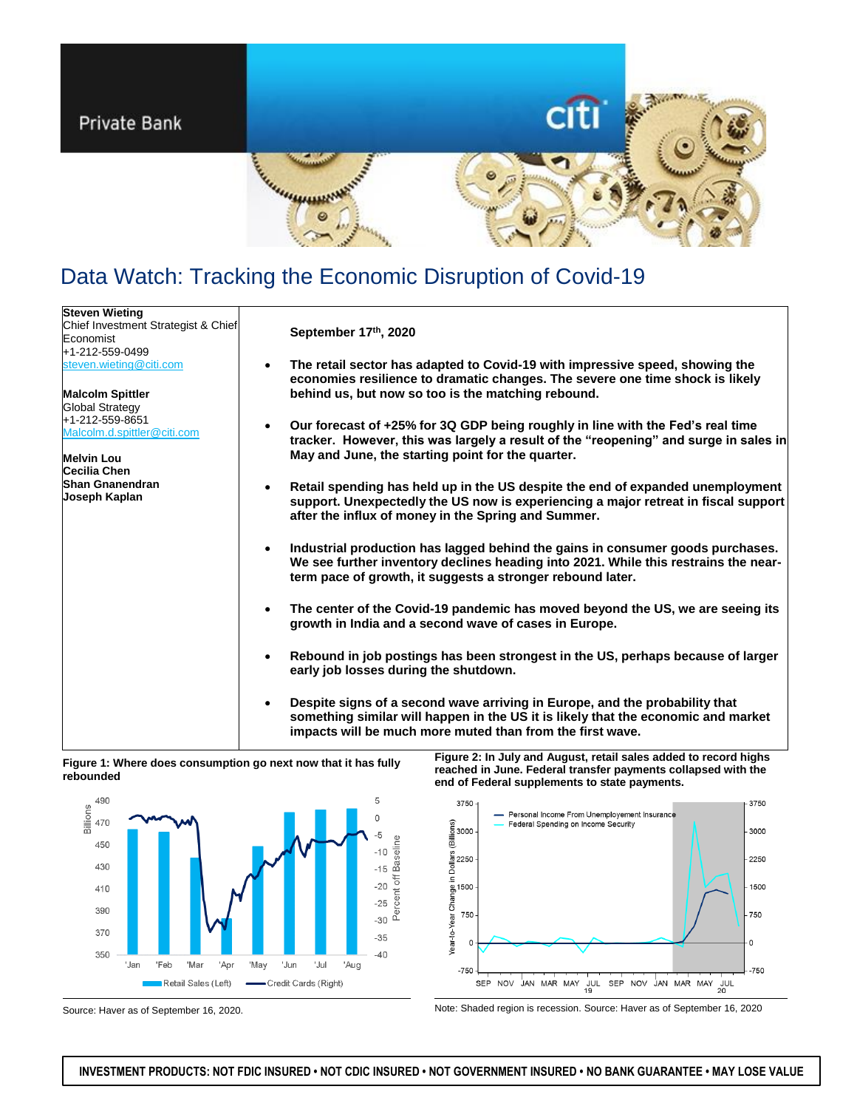

# Data Watch: Tracking the Economic Disruption of Covid-19

| <b>Steven Wieting</b>               |                                                                                                                                                                                                                                                  |
|-------------------------------------|--------------------------------------------------------------------------------------------------------------------------------------------------------------------------------------------------------------------------------------------------|
| Chief Investment Strategist & Chief | September 17th, 2020                                                                                                                                                                                                                             |
| Economist                           |                                                                                                                                                                                                                                                  |
| +1-212-559-0499                     |                                                                                                                                                                                                                                                  |
| steven.wieting@citi.com             | The retail sector has adapted to Covid-19 with impressive speed, showing the<br>$\bullet$<br>economies resilience to dramatic changes. The severe one time shock is likely                                                                       |
| <b>Malcolm Spittler</b>             | behind us, but now so too is the matching rebound.                                                                                                                                                                                               |
| <b>Global Strategy</b>              |                                                                                                                                                                                                                                                  |
| +1-212-559-8651                     |                                                                                                                                                                                                                                                  |
| Malcolm.d.spittler@citi.com         | Our forecast of +25% for 3Q GDP being roughly in line with the Fed's real time<br>$\bullet$<br>tracker. However, this was largely a result of the "reopening" and surge in sales in                                                              |
| <b>Melvin Lou</b>                   | May and June, the starting point for the quarter.                                                                                                                                                                                                |
| Cecilia Chen                        |                                                                                                                                                                                                                                                  |
| <b>Shan Gnanendran</b>              | Retail spending has held up in the US despite the end of expanded unemployment<br>$\bullet$                                                                                                                                                      |
| Joseph Kaplan                       | support. Unexpectedly the US now is experiencing a major retreat in fiscal support<br>after the influx of money in the Spring and Summer.                                                                                                        |
|                                     | Industrial production has lagged behind the gains in consumer goods purchases.<br>$\bullet$<br>We see further inventory declines heading into 2021. While this restrains the near-<br>term pace of growth, it suggests a stronger rebound later. |
|                                     | The center of the Covid-19 pandemic has moved beyond the US, we are seeing its<br>$\bullet$<br>growth in India and a second wave of cases in Europe.                                                                                             |
|                                     | Rebound in job postings has been strongest in the US, perhaps because of larger<br>$\bullet$<br>early job losses during the shutdown.                                                                                                            |
|                                     | Despite signs of a second wave arriving in Europe, and the probability that<br>$\bullet$<br>something similar will happen in the US it is likely that the economic and market<br>impacts will be much more muted than from the first wave.       |

# **Figure 1: Where does consumption go next now that it has fully rebounded**



**Figure 2: In July and August, retail sales added to record highs reached in June. Federal transfer payments collapsed with the end of Federal supplements to state payments.**



Source: Haver as of September 16, 2020. Note: Shaded region is recession. Source: Haver as of September 16, 2020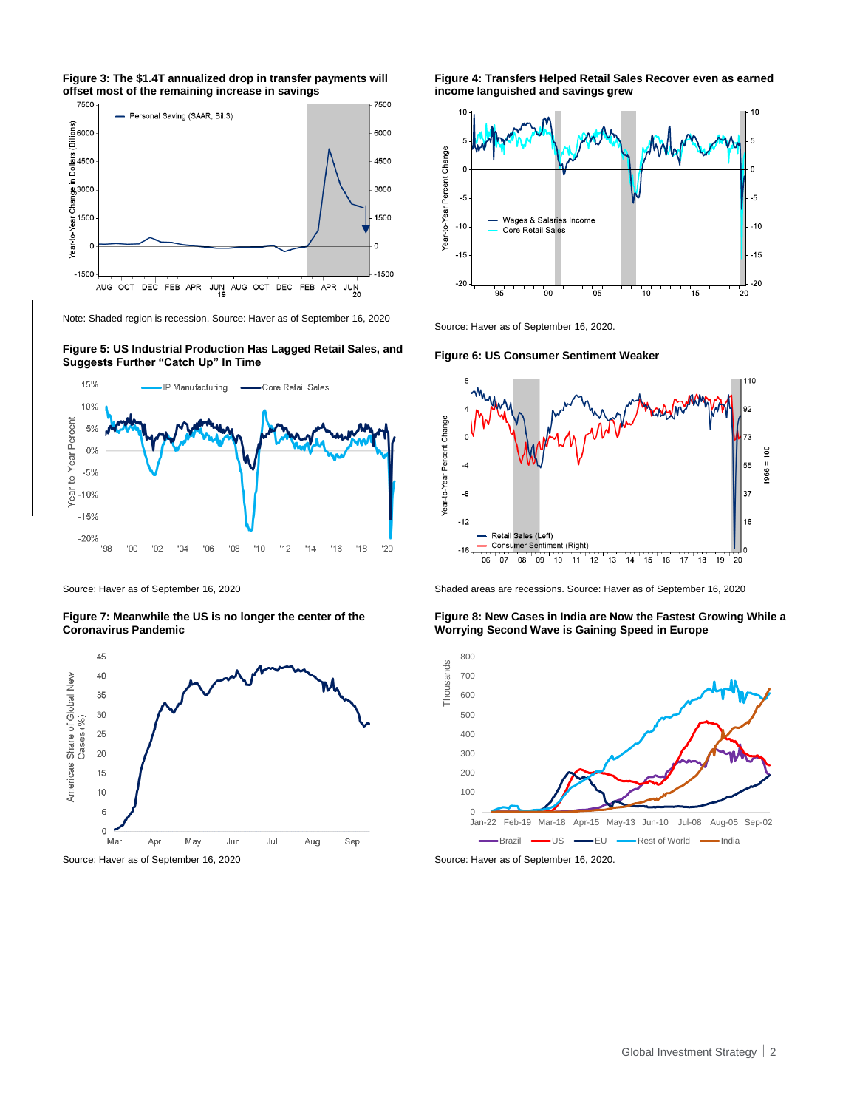



Note: Shaded region is recession. Source: Haver as of September 16, 2020

**Figure 5: US Industrial Production Has Lagged Retail Sales, and Suggests Further "Catch Up" In Time Figure 6: US Consumer Sentiment Weaker**



**Figure 7: Meanwhile the US is no longer the center of the Coronavirus Pandemic**



**Figure 4: Transfers Helped Retail Sales Recover even as earned income languished and savings grew**



Source: Haver as of September 16, 2020.



Source: Haver as of September 16, 2020 Shaded areas are recessions. Source: Haver as of September 16, 2020

**Figure 8: New Cases in India are Now the Fastest Growing While a Worrying Second Wave is Gaining Speed in Europe**

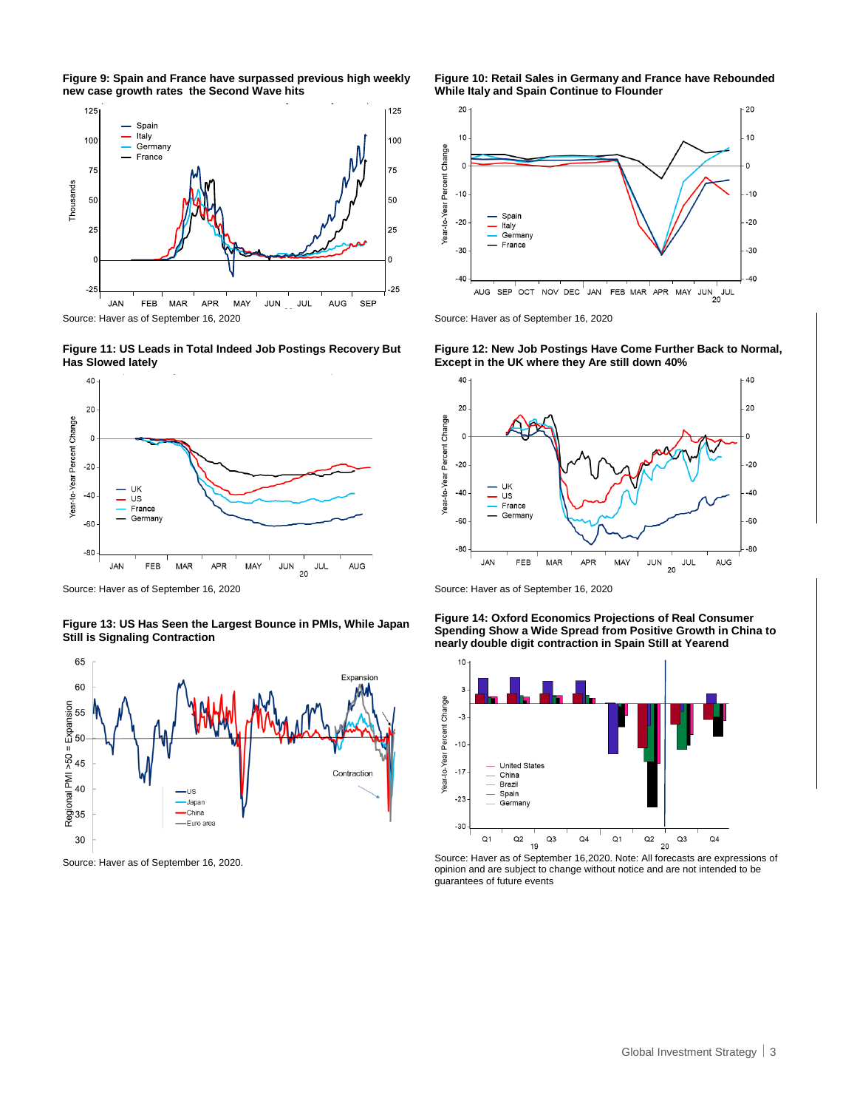**Figure 9: Spain and France have surpassed previous high weekly new case growth rates the Second Wave hits**



**Figure 11: US Leads in Total Indeed Job Postings Recovery But Has Slowed lately**



Source: Haver as of September 16, 2020 Source: Haver as of September 16, 2020

**Figure 13: US Has Seen the Largest Bounce in PMIs, While Japan Still is Signaling Contraction**



**Figure 10: Retail Sales in Germany and France have Rebounded While Italy and Spain Continue to Flounder**







**Figure 14: Oxford Economics Projections of Real Consumer Spending Show a Wide Spread from Positive Growth in China to nearly double digit contraction in Spain Still at Yearend**



Source: Haver as of September 16, 2020.<br>Source: Haver as of September 16, 2020.<br>Source: Haver as of September 16, 2020. opinion and are subject to change without notice and are not intended to be guarantees of future events